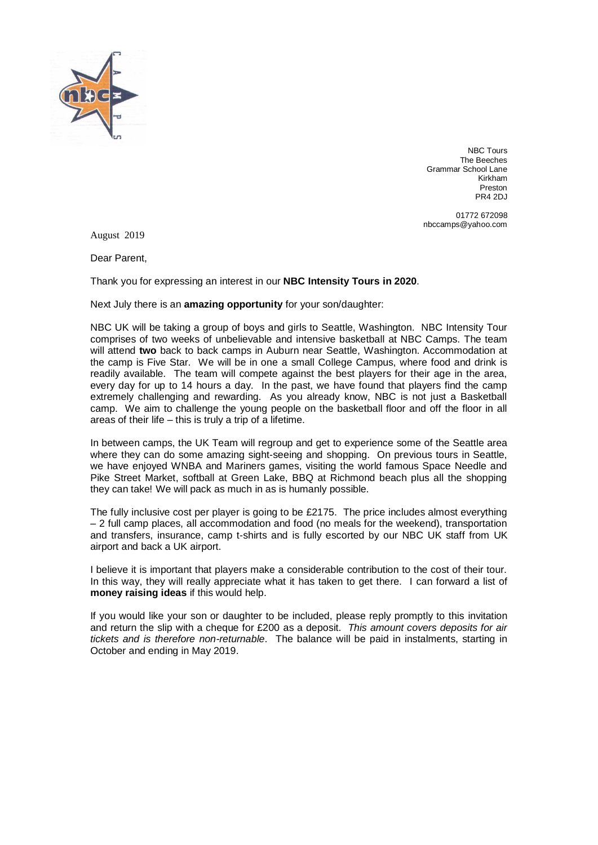

NBC Tours The Beeches Grammar School Lane Kirkham Preston PR4 2DJ

01772 672098 nbccamps@yahoo.com

August 2019

Dear Parent,

Thank you for expressing an interest in our **NBC Intensity Tours in 2020**.

Next July there is an **amazing opportunity** for your son/daughter:

NBC UK will be taking a group of boys and girls to Seattle, Washington. NBC Intensity Tour comprises of two weeks of unbelievable and intensive basketball at NBC Camps. The team will attend **two** back to back camps in Auburn near Seattle, Washington. Accommodation at the camp is Five Star. We will be in one a small College Campus, where food and drink is readily available. The team will compete against the best players for their age in the area, every day for up to 14 hours a day. In the past, we have found that players find the camp extremely challenging and rewarding. As you already know, NBC is not just a Basketball camp. We aim to challenge the young people on the basketball floor and off the floor in all areas of their life – this is truly a trip of a lifetime.

In between camps, the UK Team will regroup and get to experience some of the Seattle area where they can do some amazing sight-seeing and shopping. On previous tours in Seattle, we have enjoyed WNBA and Mariners games, visiting the world famous Space Needle and Pike Street Market, softball at Green Lake, BBQ at Richmond beach plus all the shopping they can take! We will pack as much in as is humanly possible.

The fully inclusive cost per player is going to be £2175. The price includes almost everything – 2 full camp places, all accommodation and food (no meals for the weekend), transportation and transfers, insurance, camp t-shirts and is fully escorted by our NBC UK staff from UK airport and back a UK airport.

I believe it is important that players make a considerable contribution to the cost of their tour. In this way, they will really appreciate what it has taken to get there. I can forward a list of **money raising ideas** if this would help.

If you would like your son or daughter to be included, please reply promptly to this invitation and return the slip with a cheque for £200 as a deposit. *This amount covers deposits for air tickets and is therefore non-returnable*. The balance will be paid in instalments, starting in October and ending in May 2019.